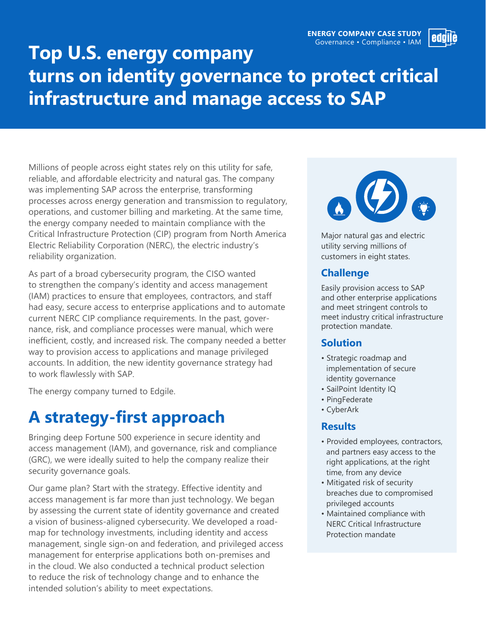

# **Top U.S. energy company turns on identity governance to protect critical infrastructure and manage access to SAP**

Millions of people across eight states rely on this utility for safe, reliable, and affordable electricity and natural gas. The company was implementing SAP across the enterprise, transforming processes across energy generation and transmission to regulatory, operations, and customer billing and marketing. At the same time, the energy company needed to maintain compliance with the Critical Infrastructure Protection (CIP) program from North America Electric Reliability Corporation (NERC), the electric industry's reliability organization.

As part of a broad cybersecurity program, the CISO wanted to strengthen the company's identity and access management (IAM) practices to ensure that employees, contractors, and staff had easy, secure access to enterprise applications and to automate current NERC CIP compliance requirements. In the past, governance, risk, and compliance processes were manual, which were inefficient, costly, and increased risk. The company needed a better way to provision access to applications and manage privileged accounts. In addition, the new identity governance strategy had to work flawlessly with SAP.

The energy company turned to Edgile.

## **A strategy-first approach**

Bringing deep Fortune 500 experience in secure identity and access management (IAM), and governance, risk and compliance (GRC), we were ideally suited to help the company realize their security governance goals.

Our game plan? Start with the strategy. Effective identity and access management is far more than just technology. We began by assessing the current state of identity governance and created a vision of business-aligned cybersecurity. We developed a roadmap for technology investments, including identity and access management, single sign-on and federation, and privileged access management for enterprise applications both on-premises and in the cloud. We also conducted a technical product selection to reduce the risk of technology change and to enhance the intended solution's ability to meet expectations.



Major natural gas and electric utility serving millions of customers in eight states.

## **Challenge**

Easily provision access to SAP and other enterprise applications and meet stringent controls to meet industry critical infrastructure protection mandate.

#### **Solution**

- Strategic roadmap and implementation of secure identity governance
- SailPoint Identity IQ
- PingFederate
- CyberArk

### **Results**

- Provided employees, contractors, and partners easy access to the right applications, at the right time, from any device
- Mitigated risk of security breaches due to compromised privileged accounts
- Maintained compliance with NERC Critical Infrastructure Protection mandate